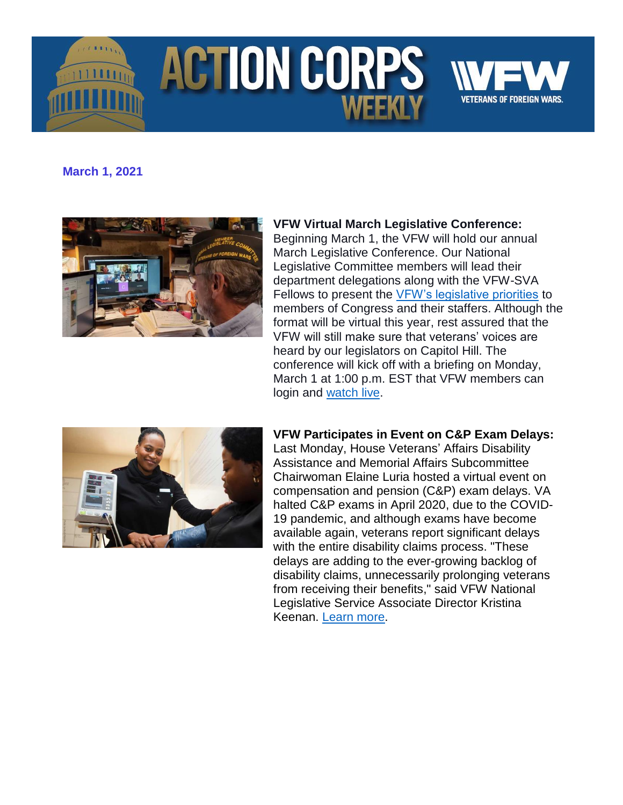

## **ACTION CORPS WFFKI**





## **VFW Virtual March Legislative Conference:**

**ETERANS OF FOREIGN WARS** 

Beginning March 1, the VFW will hold our annual March Legislative Conference. Our National Legislative Committee members will lead their department delegations along with the VFW-SVA Fellows to present the [VFW's legislative priorities](http://www.vfw.org/advocacy/national-legislative-service) to members of Congress and their staffers. Although the format will be virtual this year, rest assured that the VFW will still make sure that veterans' voices are heard by our legislators on Capitol Hill. The conference will kick off with a briefing on Monday, March 1 at 1:00 p.m. EST that VFW members can login and [watch live.](https://www.vfw.org/my-vfw/2021virtualmarchlegislativeconference)



**VFW Participates in Event on C&P Exam Delays:** Last Monday, House Veterans' Affairs Disability Assistance and Memorial Affairs Subcommittee Chairwoman Elaine Luria hosted a virtual event on compensation and pension (C&P) exam delays. VA halted C&P exams in April 2020, due to the COVID-19 pandemic, and although exams have become available again, veterans report significant delays with the entire disability claims process. "These delays are adding to the ever-growing backlog of disability claims, unnecessarily prolonging veterans from receiving their benefits," said VFW National Legislative Service Associate Director Kristina Keenan. [Learn more.](https://www.13newsnow.com/article/news/national/military-news/veterans-affairs-compensation-pension-cases-backlog/291-687e220e-a4fb-4c25-aa62-89f4bcf47599)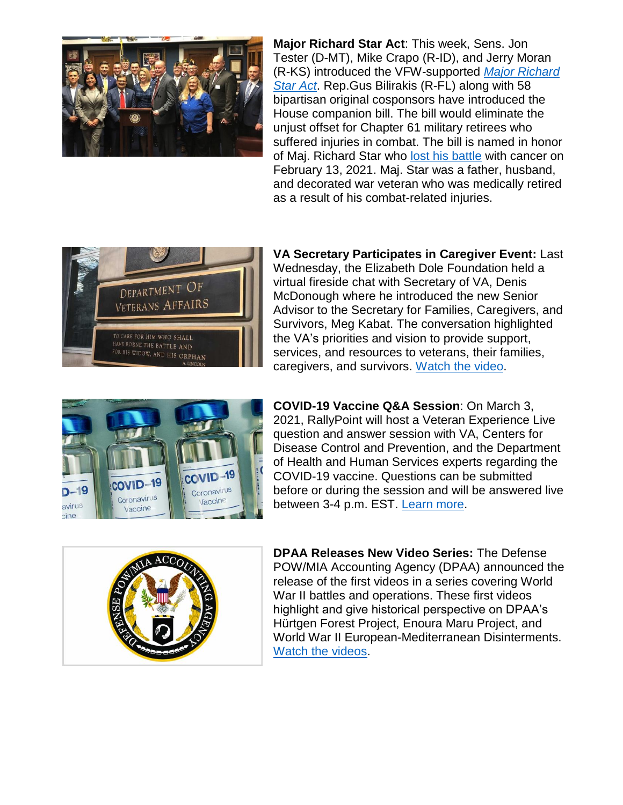

**Major Richard Star Act**: This week, Sens. Jon Tester (D-MT), Mike Crapo (R-ID), and Jerry Moran (R-KS) introduced the VFW-supported *[Major Richard](https://www.veterans.senate.gov/newsroom/majority-news/tester-crapo-moran-lead-bipartisan-push-to-provide-disabled-veterans-full-military-benefits)  [Star Act](https://www.veterans.senate.gov/newsroom/majority-news/tester-crapo-moran-lead-bipartisan-push-to-provide-disabled-veterans-full-military-benefits)*. Rep.Gus Bilirakis (R-FL) along with 58 bipartisan original cosponsors have introduced the House companion bill. The bill would eliminate the unjust offset for Chapter 61 military retirees who suffered injuries in combat. The bill is named in honor of Maj. Richard Star who [lost his battle](https://www.militarytimes.com/news/your-military/2021/02/13/disabled-veterans-advocate-richard-star-died-but-his-fight-for-concurrent-receipt-presses-on/?utm_source=Sailthru&utm_medium=email&utm_campaign=EBB%2002.16.21&utm_term=Editorial%20-%20Military%20-%20Early%20Bird%20Brief) with cancer on February 13, 2021. Maj. Star was a father, husband, and decorated war veteran who was medically retired as a result of his combat-related injuries.



**VA Secretary Participates in Caregiver Event:** Last Wednesday, the Elizabeth Dole Foundation held a virtual fireside chat with Secretary of VA, Denis McDonough where he introduced the new Senior Advisor to the Secretary for Families, Caregivers, and Survivors, Meg Kabat. The conversation highlighted the VA's priorities and vision to provide support, services, and resources to veterans, their families, caregivers, and survivors. [Watch the video.](https://www.youtube.com/watch?v=6TfgvTTH9gs&feature=youtu.be)



**COVID-19 Vaccine Q&A Session**: On March 3, 2021, RallyPoint will host a Veteran Experience Live question and answer session with VA, Centers for Disease Control and Prevention, and the Department of Health and Human Services experts regarding the COVID-19 vaccine. Questions can be submitted before or during the session and will be answered live between 3-4 p.m. EST. [Learn more.](https://www.rallypoint.com/answers/veterans-experience-live-vetxl-covid-19-vaccine-q-a-join-on-march-3rd-to-ask-your-questions)



**DPAA Releases New Video Series:** The Defense POW/MIA Accounting Agency (DPAA) announced the release of the first videos in a series covering World War II battles and operations. These first videos highlight and give historical perspective on DPAA's Hürtgen Forest Project, Enoura Maru Project, and World War II European-Mediterranean Disinterments. [Watch the videos.](https://www.dpaa.mil/Resources/Briefing-Videos/)